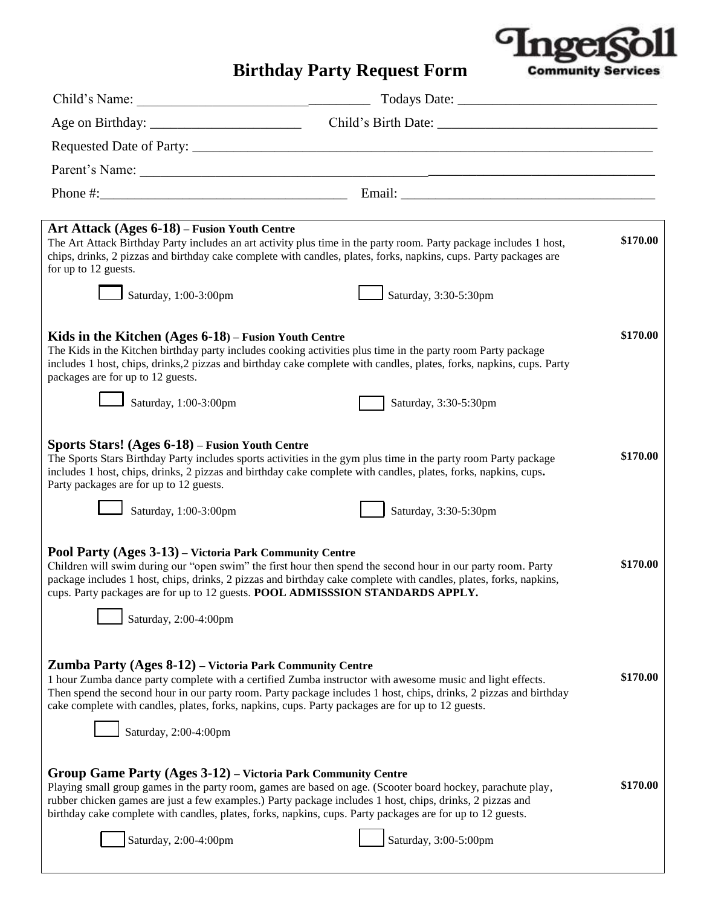

## **Birthday Party Request Form**

| Art Attack (Ages 6-18) – Fusion Youth Centre<br>for up to 12 guests.                                                                                                                                                                                                                                                                                                                                                     | The Art Attack Birthday Party includes an art activity plus time in the party room. Party package includes 1 host,<br>chips, drinks, 2 pizzas and birthday cake complete with candles, plates, forks, napkins, cups. Party packages are                                                                                                                         | \$170.00 |
|--------------------------------------------------------------------------------------------------------------------------------------------------------------------------------------------------------------------------------------------------------------------------------------------------------------------------------------------------------------------------------------------------------------------------|-----------------------------------------------------------------------------------------------------------------------------------------------------------------------------------------------------------------------------------------------------------------------------------------------------------------------------------------------------------------|----------|
| Saturday, $1:00-3:00$ pm                                                                                                                                                                                                                                                                                                                                                                                                 | Saturday, 3:30-5:30pm                                                                                                                                                                                                                                                                                                                                           |          |
| Kids in the Kitchen $(Ages 6-18)$ – Fusion Youth Centre<br>The Kids in the Kitchen birthday party includes cooking activities plus time in the party room Party package<br>includes 1 host, chips, drinks, 2 pizzas and birthday cake complete with candles, plates, forks, napkins, cups. Party<br>packages are for up to 12 guests.                                                                                    |                                                                                                                                                                                                                                                                                                                                                                 | \$170.00 |
| Saturday, 1:00-3:00pm                                                                                                                                                                                                                                                                                                                                                                                                    | Saturday, 3:30-5:30pm                                                                                                                                                                                                                                                                                                                                           |          |
| Sports Stars! (Ages 6-18) – Fusion Youth Centre<br>The Sports Stars Birthday Party includes sports activities in the gym plus time in the party room Party package<br>includes 1 host, chips, drinks, 2 pizzas and birthday cake complete with candles, plates, forks, napkins, cups.<br>Party packages are for up to 12 guests.                                                                                         |                                                                                                                                                                                                                                                                                                                                                                 | \$170.00 |
| Saturday, 1:00-3:00pm                                                                                                                                                                                                                                                                                                                                                                                                    | Saturday, 3:30-5:30pm                                                                                                                                                                                                                                                                                                                                           |          |
| Pool Party (Ages 3-13) – Victoria Park Community Centre<br>cups. Party packages are for up to 12 guests. POOL ADMISSSION STANDARDS APPLY.<br>Saturday, 2:00-4:00pm                                                                                                                                                                                                                                                       | Children will swim during our "open swim" the first hour then spend the second hour in our party room. Party<br>package includes 1 host, chips, drinks, 2 pizzas and birthday cake complete with candles, plates, forks, napkins,                                                                                                                               | \$170.00 |
| Zumba Party (Ages 8-12) – Victoria Park Community Centre<br>1 hour Zumba dance party complete with a certified Zumba instructor with awesome music and light effects.<br>Then spend the second hour in our party room. Party package includes 1 host, chips, drinks, 2 pizzas and birthday<br>cake complete with candles, plates, forks, napkins, cups. Party packages are for up to 12 guests.<br>Saturday, 2:00-4:00pm |                                                                                                                                                                                                                                                                                                                                                                 | \$170.00 |
| Group Game Party (Ages 3-12) – Victoria Park Community Centre<br>Saturday, 2:00-4:00pm                                                                                                                                                                                                                                                                                                                                   | Playing small group games in the party room, games are based on age. (Scooter board hockey, parachute play,<br>rubber chicken games are just a few examples.) Party package includes 1 host, chips, drinks, 2 pizzas and<br>birthday cake complete with candles, plates, forks, napkins, cups. Party packages are for up to 12 guests.<br>Saturday, 3:00-5:00pm | \$170.00 |